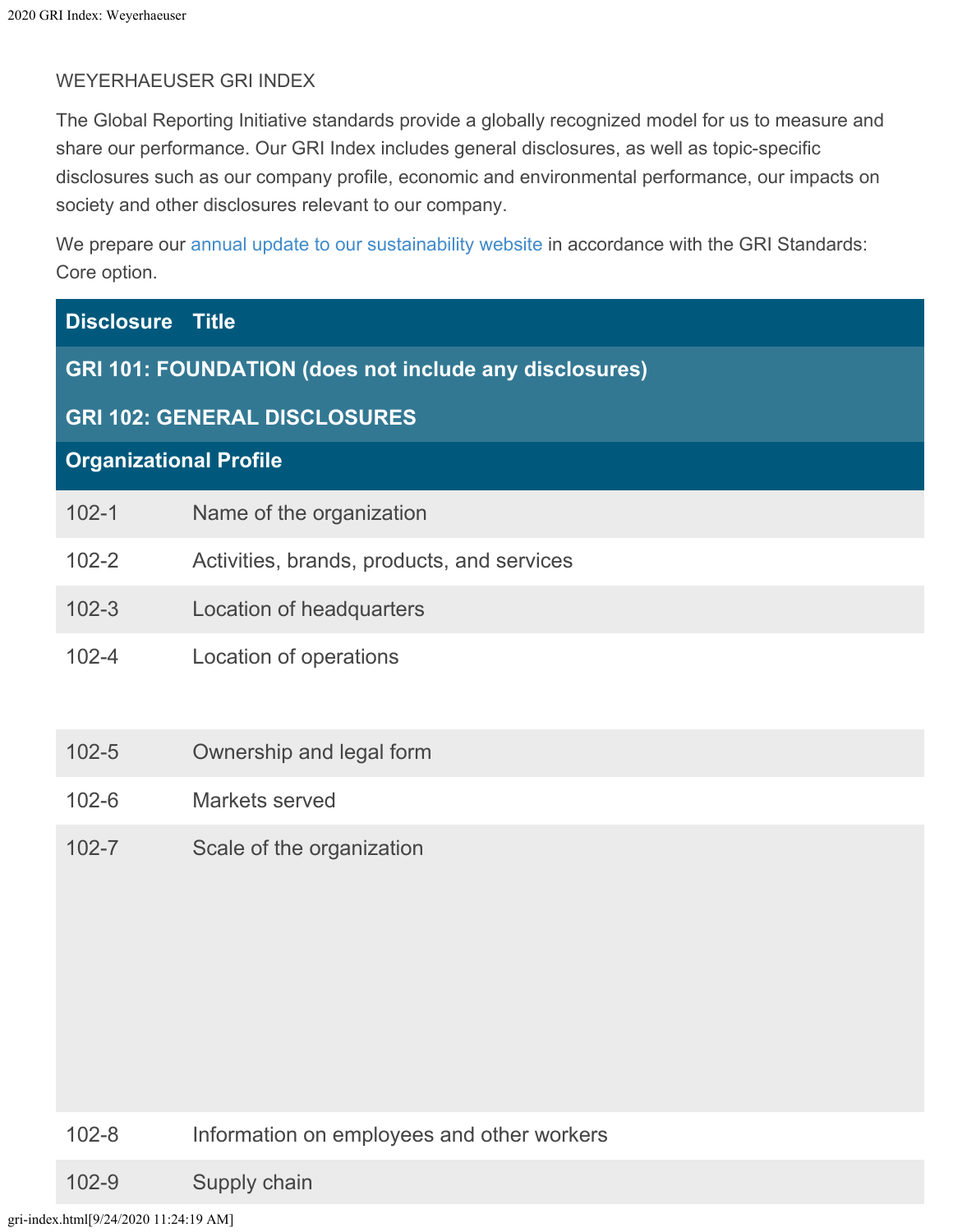## WEYERHAEUSER GRI INDEX

The Global Reporting Initiative standards provide a globally recognized model for us to measure and share our performance. Our GRI Index includes general disclosures, as well as topic-specific disclosures such as our company profile, economic and environmental performance, our impacts on society and other disclosures relevant to our company.

We prepare our [annual update to our sustainability website](https://www.weyerhaeuser.com/sustainability/) in accordance with the GRI Standards: Core option.

| <b>Disclosure Title</b>                                       |                                            |  |  |
|---------------------------------------------------------------|--------------------------------------------|--|--|
| <b>GRI 101: FOUNDATION (does not include any disclosures)</b> |                                            |  |  |
| <b>GRI 102: GENERAL DISCLOSURES</b>                           |                                            |  |  |
| <b>Organizational Profile</b>                                 |                                            |  |  |
| $102 - 1$                                                     | Name of the organization                   |  |  |
| $102 - 2$                                                     | Activities, brands, products, and services |  |  |
| $102 - 3$                                                     | Location of headquarters                   |  |  |
| $102 - 4$                                                     | Location of operations                     |  |  |
| $102 - 5$                                                     | Ownership and legal form                   |  |  |
| $102 - 6$                                                     | Markets served                             |  |  |
| $102 - 7$                                                     | Scale of the organization                  |  |  |

#### 102-8 Information on employees and other workers

102-9 Supply chain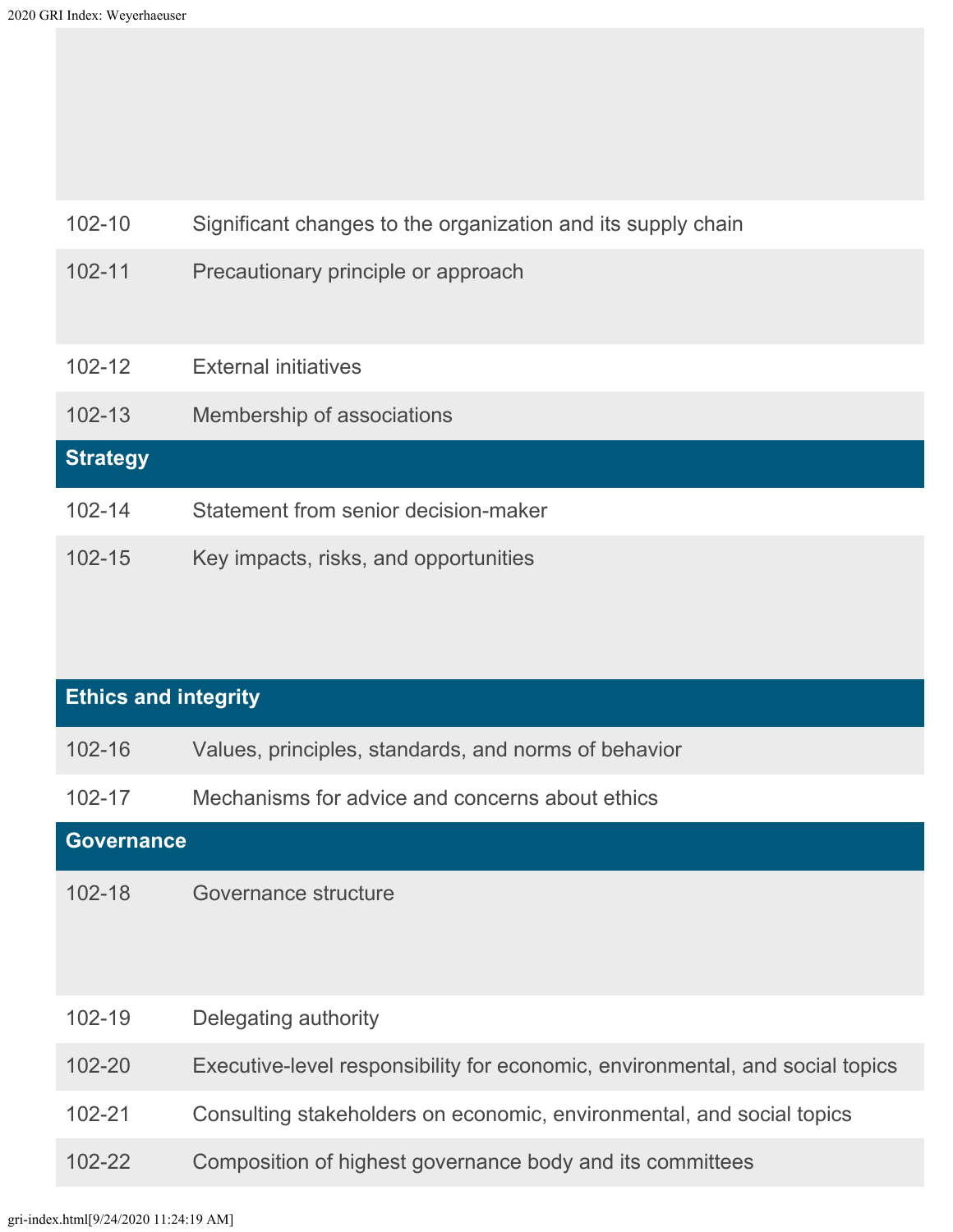| $102 - 10$      | Significant changes to the organization and its supply chain |
|-----------------|--------------------------------------------------------------|
| $102 - 11$      | Precautionary principle or approach                          |
| $102 - 12$      | <b>External initiatives</b>                                  |
| $102 - 13$      | Membership of associations                                   |
| <b>Strategy</b> |                                                              |
| $102 - 14$      | Statement from senior decision-maker                         |
| $102 - 15$      | Key impacts, risks, and opportunities                        |

| <b>Ethics and integrity</b> |                                                                               |  |  |
|-----------------------------|-------------------------------------------------------------------------------|--|--|
| $102 - 16$                  | Values, principles, standards, and norms of behavior                          |  |  |
| $102 - 17$                  | Mechanisms for advice and concerns about ethics                               |  |  |
| <b>Governance</b>           |                                                                               |  |  |
| $102 - 18$                  | Governance structure                                                          |  |  |
| $102 - 19$                  | Delegating authority                                                          |  |  |
| $102 - 20$                  | Executive-level responsibility for economic, environmental, and social topics |  |  |
| $102 - 21$                  | Consulting stakeholders on economic, environmental, and social topics         |  |  |
| $102 - 22$                  | Composition of highest governance body and its committees                     |  |  |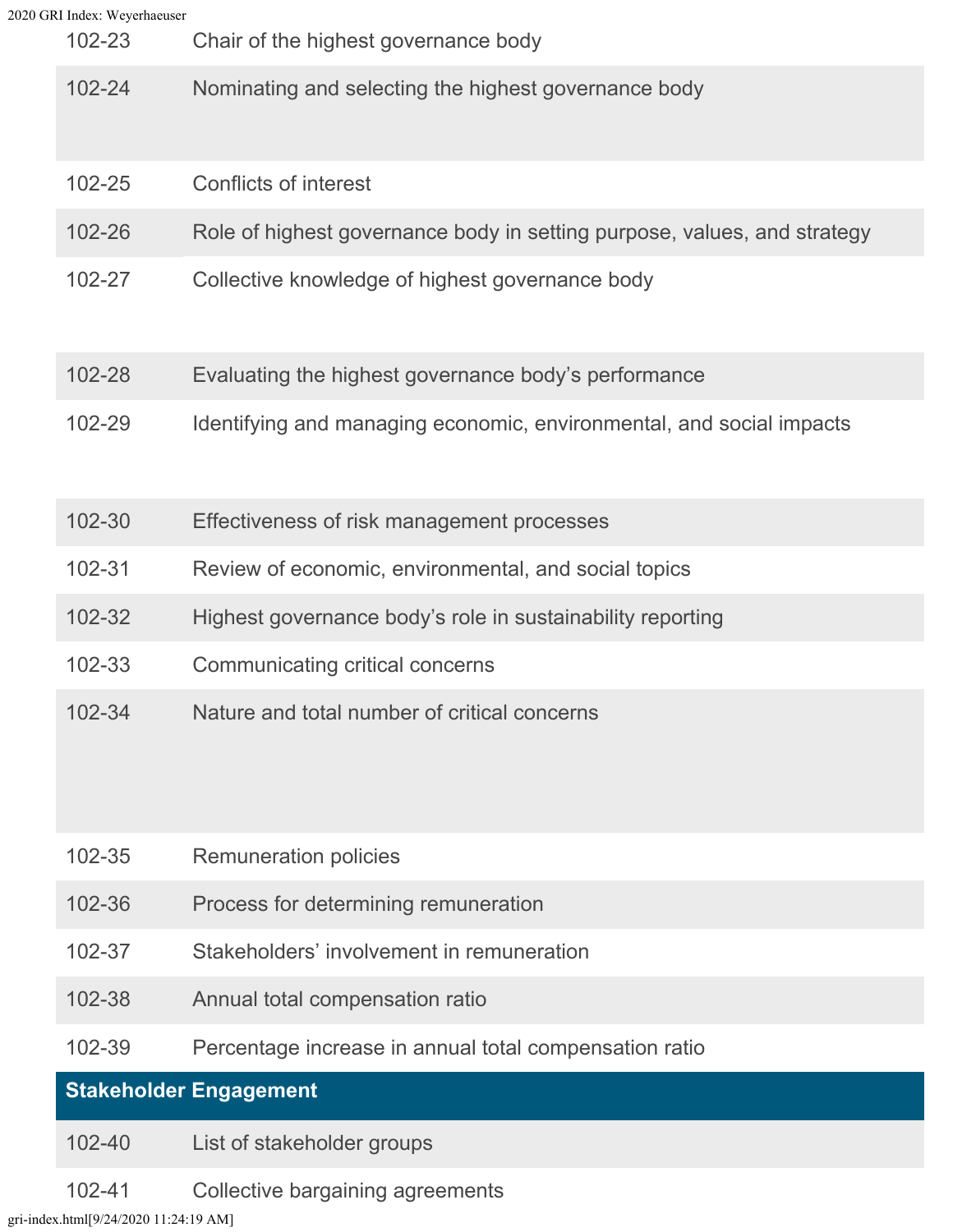|  | 2020 GRI Index: Weyerhaeuser<br>102-23 | Chair of the highest governance body                                     |
|--|----------------------------------------|--------------------------------------------------------------------------|
|  | $102 - 24$                             | Nominating and selecting the highest governance body                     |
|  | 102-25                                 | Conflicts of interest                                                    |
|  | 102-26                                 | Role of highest governance body in setting purpose, values, and strategy |
|  | 102-27                                 | Collective knowledge of highest governance body                          |
|  | 102-28                                 | Evaluating the highest governance body's performance                     |
|  | 102-29                                 | Identifying and managing economic, environmental, and social impacts     |
|  | 102-30                                 | Effectiveness of risk management processes                               |
|  | $102 - 31$                             | Review of economic, environmental, and social topics                     |
|  | 102-32                                 | Highest governance body's role in sustainability reporting               |
|  | 102-33                                 | Communicating critical concerns                                          |
|  | 102-34                                 | Nature and total number of critical concerns                             |
|  | 102-35                                 | <b>Remuneration policies</b>                                             |
|  | 102-36                                 | Process for determining remuneration                                     |
|  | 102-37                                 | Stakeholders' involvement in remuneration                                |
|  | 102-38                                 | Annual total compensation ratio                                          |
|  | 102-39                                 | Percentage increase in annual total compensation ratio                   |
|  |                                        | <b>Stakeholder Engagement</b>                                            |
|  | 102-40                                 | List of stakeholder groups                                               |

102-41 Collective bargaining agreements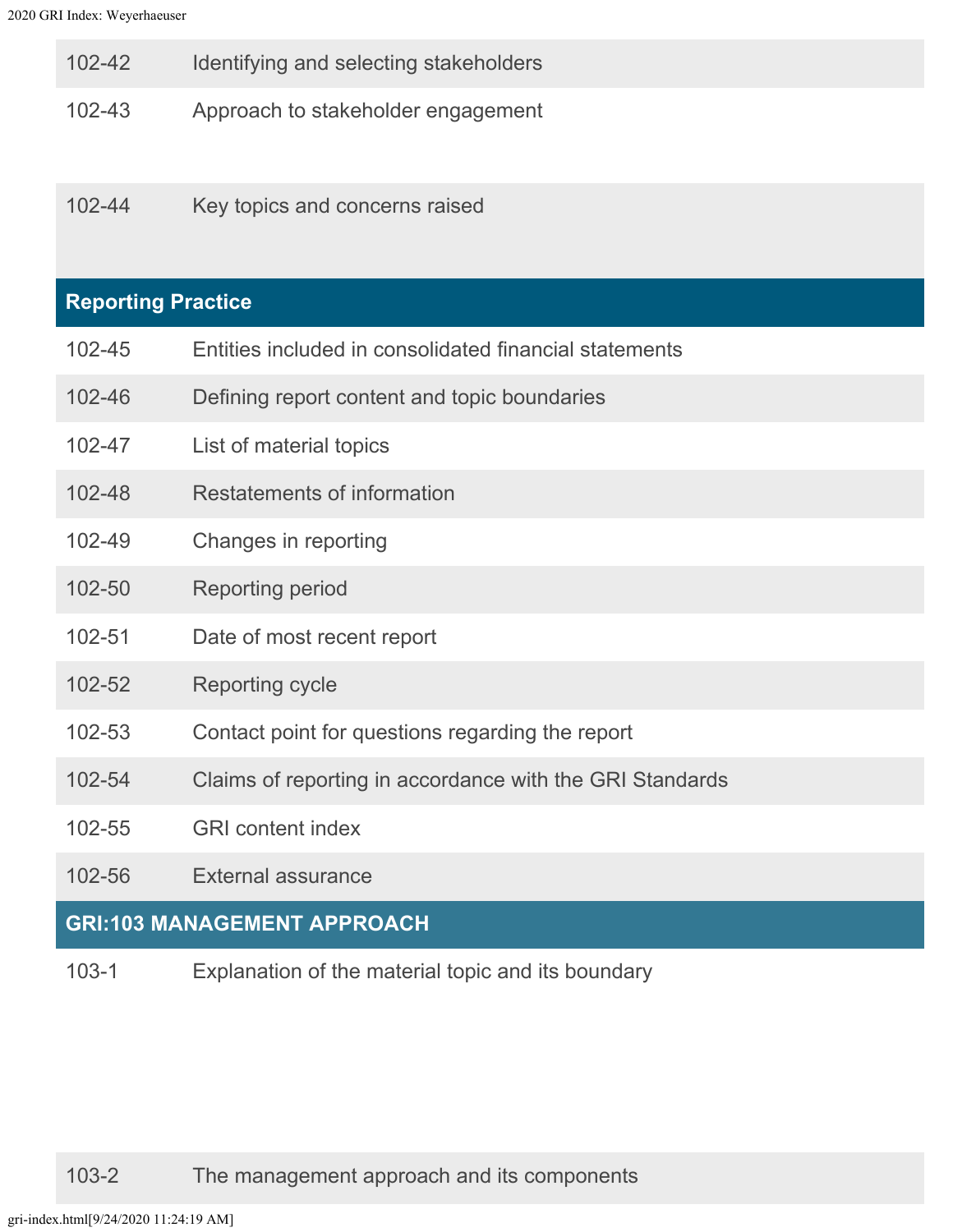| 102-42 |  | Identifying and selecting stakeholders |
|--------|--|----------------------------------------|
|        |  |                                        |

- 102-43 Approach to stakeholder engagement
- 102-44 Key topics and concerns raised

## **Reporting Practice**

- 102-45 Entities included in consolidated financial statements
- 102-46 Defining report content and topic boundaries
- 102-47 List of material topics
- 102-48 Restatements of information
- 102-49 Changes in reporting
- 102-50 Reporting period
- 102-51 Date of most recent report
- 102-52 Reporting cycle
- 102-53 Contact point for questions regarding the report
- 102-54 Claims of reporting in accordance with the GRI Standards
- 102-55 GRI content index
- 102-56 External assurance

#### **GRI:103 MANAGEMENT APPROACH**

103-1 Explanation of the material topic and its boundary

103-2 The management approach and its components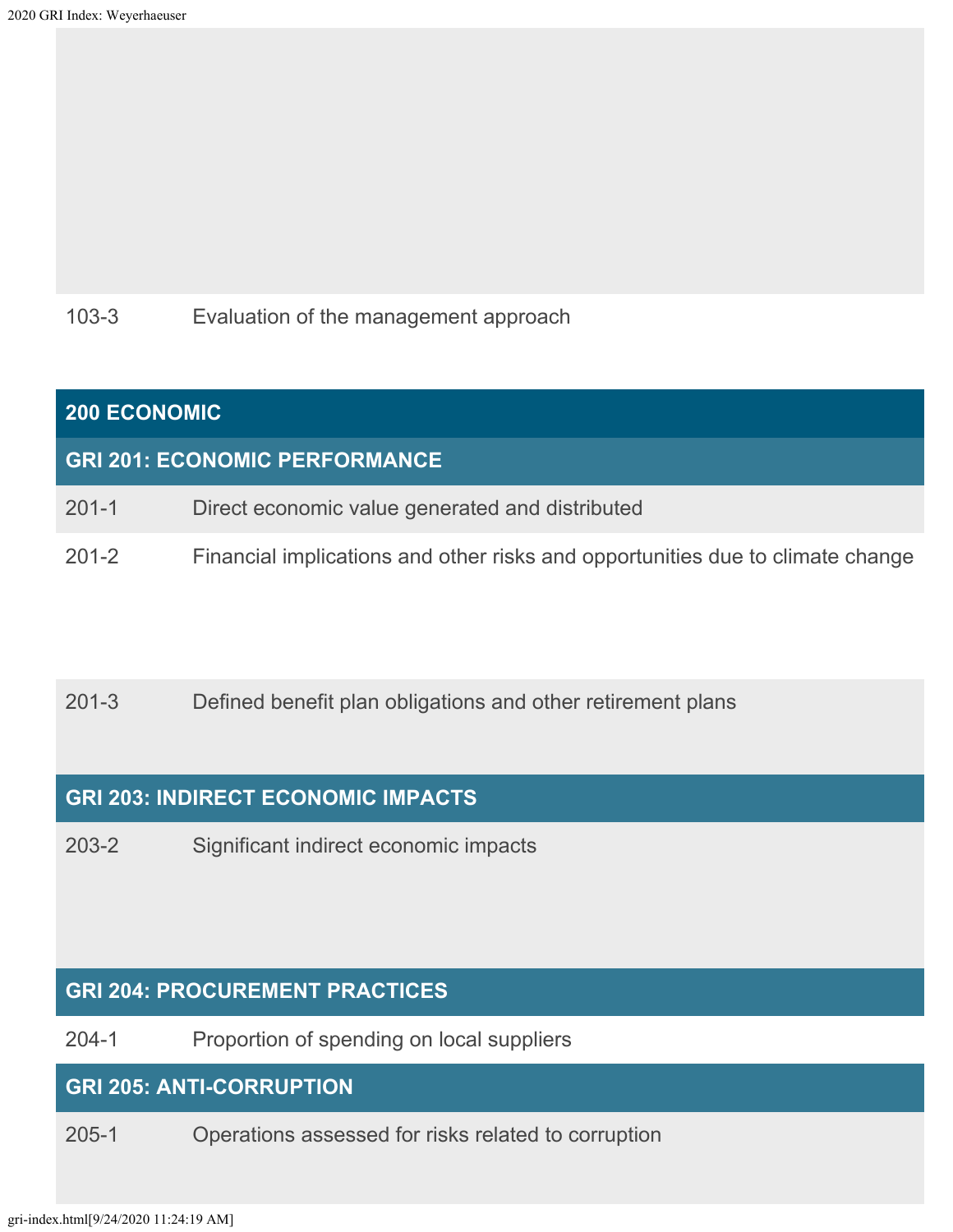## 103-3 Evaluation of the management approach

# **200 ECONOMIC GRI 201: ECONOMIC PERFORMANCE**

- 201-1 Direct economic value generated and distributed
- 201-2 Financial implications and other risks and opportunities due to climate change

## 201-3 Defined benefit plan obligations and other retirement plans

## **GRI 203: INDIRECT ECONOMIC IMPACTS**

203-2 Significant indirect economic impacts

## **GRI 204: PROCUREMENT PRACTICES**

204-1 Proportion of spending on local suppliers

## **GRI 205: ANTI-CORRUPTION**

205-1 Operations assessed for risks related to corruption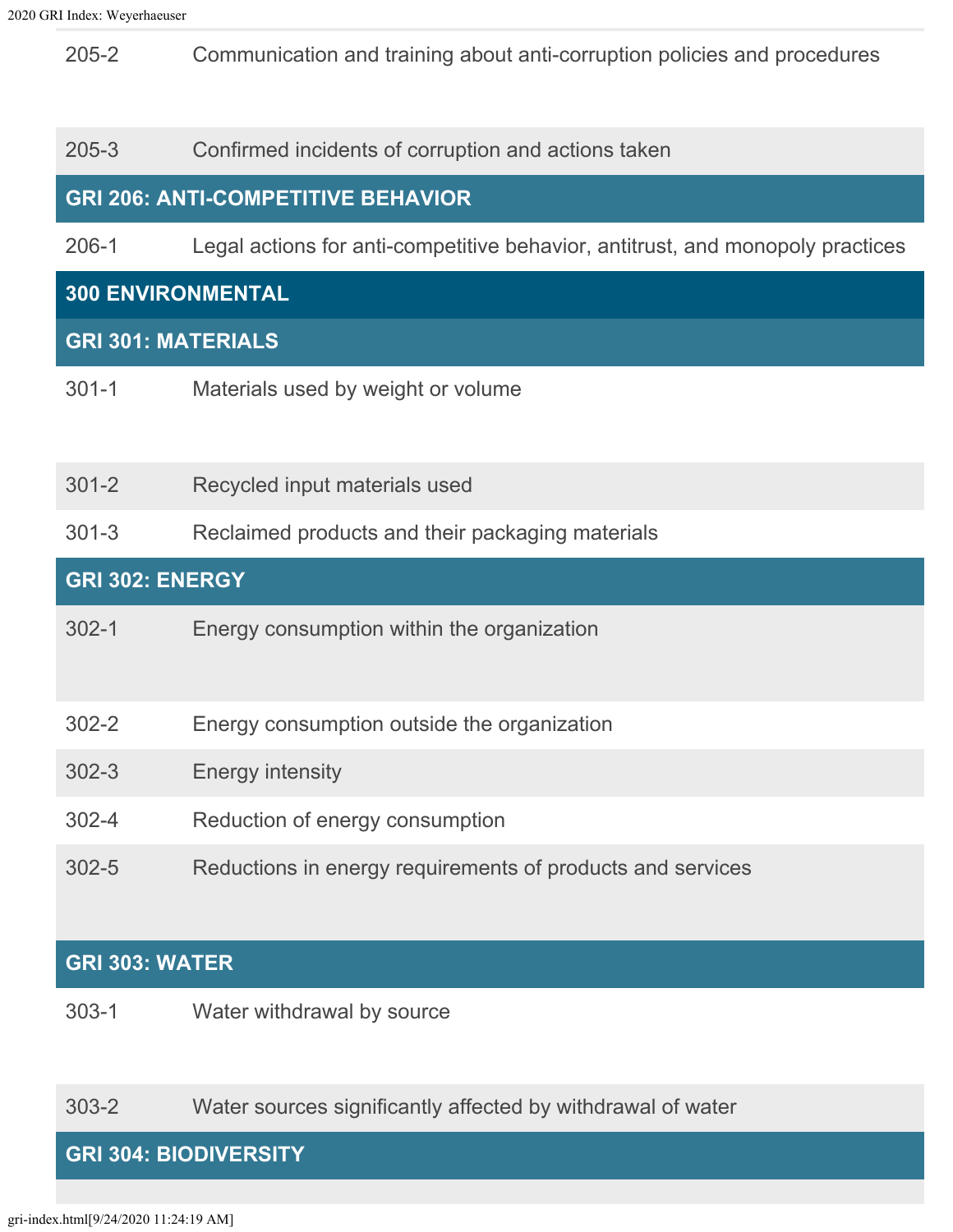205-2 Communication and training about anti-corruption policies and procedures

#### 205-3 Confirmed incidents of corruption and actions taken

### **GRI 206: ANTI-COMPETITIVE BEHAVIOR**

206-1 Legal actions for anti-competitive behavior, antitrust, and monopoly practices

#### **300 ENVIRONMENTAL**

#### **GRI 301: MATERIALS**

- 301-1 Materials used by weight or volume
- 301-2 Recycled input materials used
- 301-3 Reclaimed products and their packaging materials

#### **GRI 302: ENERGY**

- 302-1 Energy consumption within the organization
- 302-2 Energy consumption outside the organization
- 302-3 Energy intensity
- 302-4 Reduction of energy consumption
- 302-5 Reductions in energy requirements of products and services

#### **GRI 303: WATER**

303-1 Water withdrawal by source

303-2 Water sources significantly affected by withdrawal of water

#### **GRI 304: BIODIVERSITY**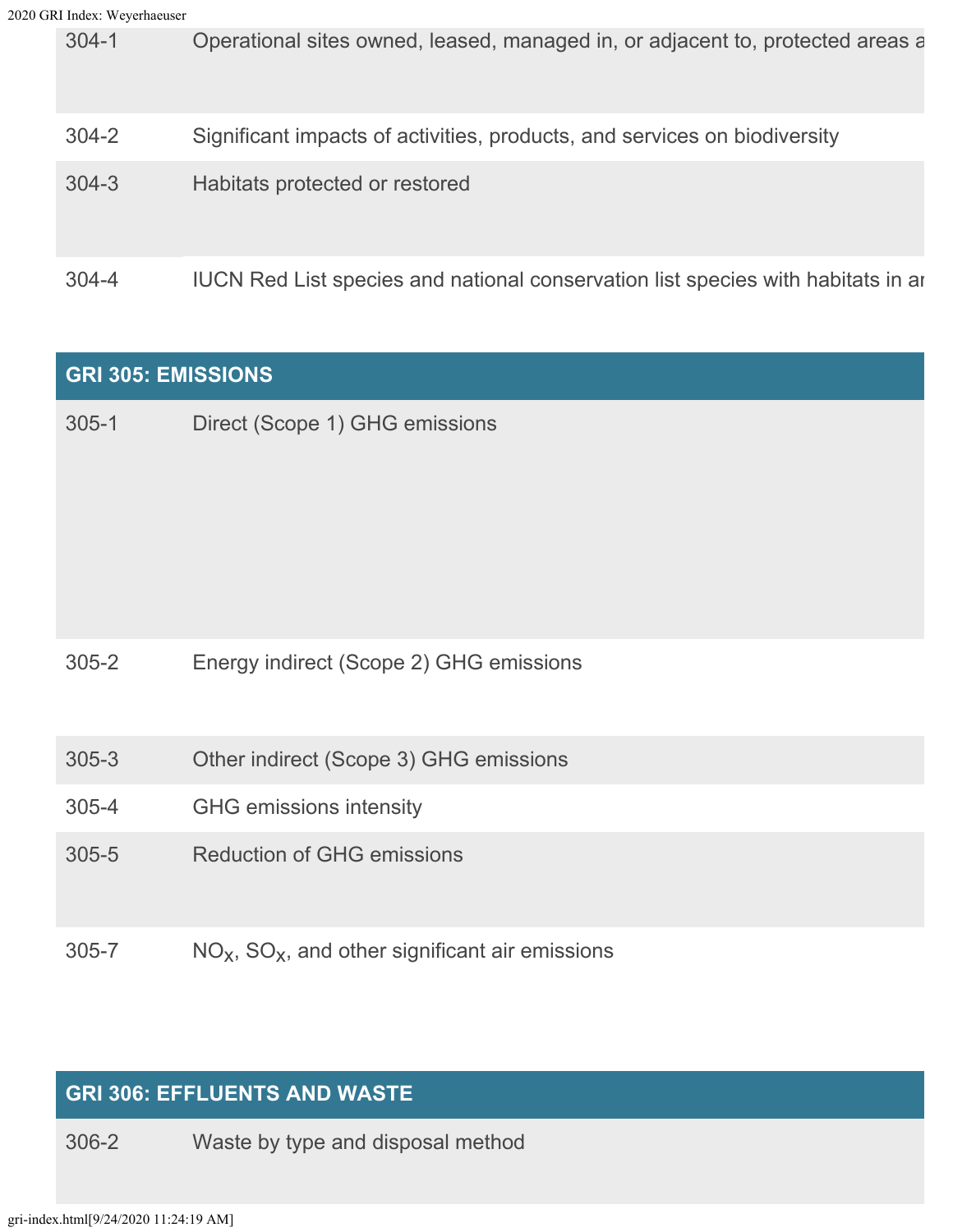304-1 Operational sites owned, leased, managed in, or adjacent to, protected areas a 304-2 Significant impacts of activities, products, and services on biodiversity 304-3 Habitats protected or restored 304-4 IUCN Red List species and national conservation list species with habitats in ar

| <b>GRI 305: EMISSIONS</b> |                                                     |  |
|---------------------------|-----------------------------------------------------|--|
| $305 - 1$                 | Direct (Scope 1) GHG emissions                      |  |
| $305 - 2$                 | Energy indirect (Scope 2) GHG emissions             |  |
| $305 - 3$                 | Other indirect (Scope 3) GHG emissions              |  |
| $305 - 4$                 | <b>GHG</b> emissions intensity                      |  |
| $305 - 5$                 | <b>Reduction of GHG emissions</b>                   |  |
| $305 - 7$                 | $NOx$ , $SOx$ , and other significant air emissions |  |

## **GRI 306: EFFLUENTS AND WASTE**

306-2 Waste by type and disposal method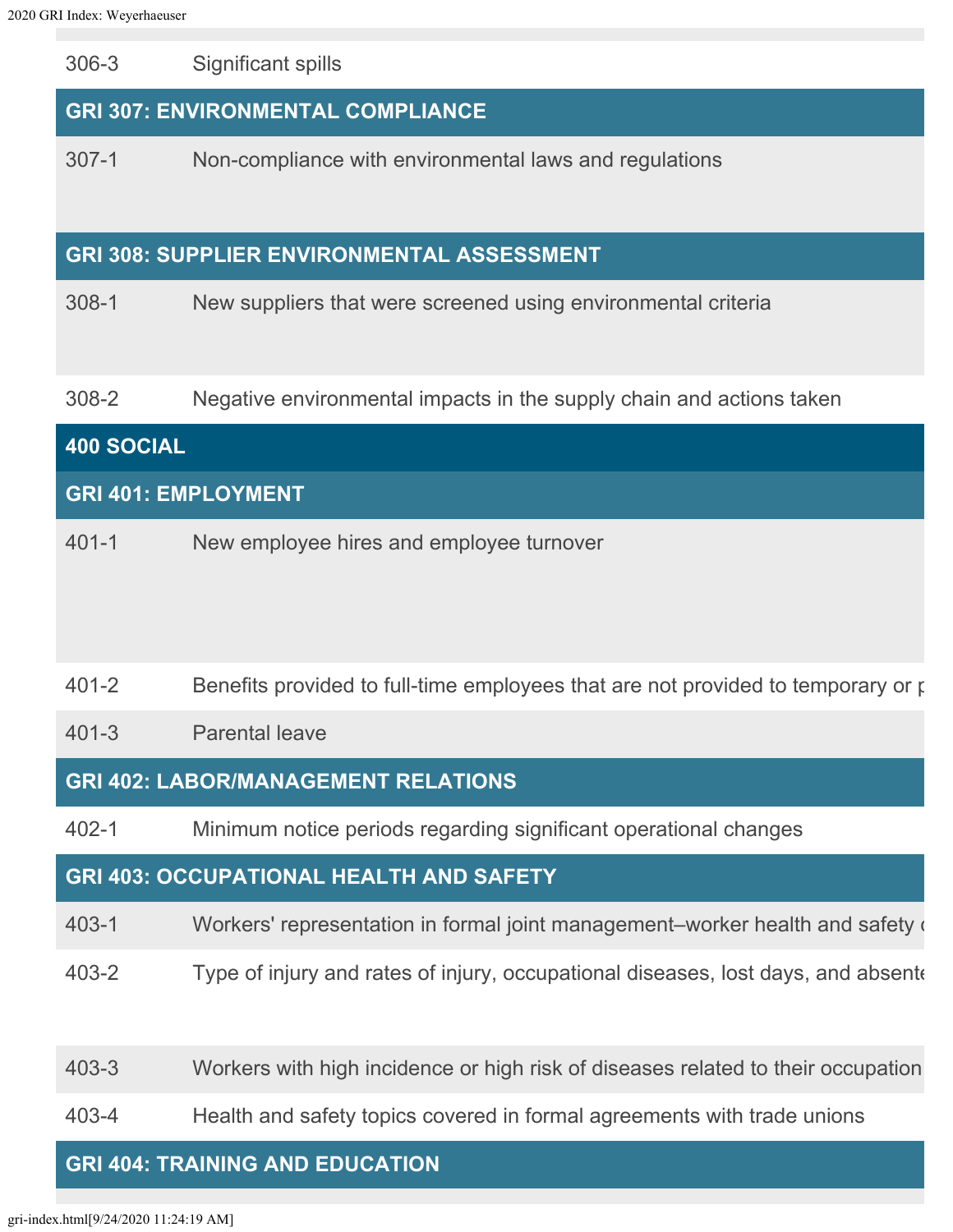306-3 Significant spills

## **GRI 307: ENVIRONMENTAL COMPLIANCE**

307-1 Non-compliance with environmental laws and regulations

## **GRI 308: SUPPLIER ENVIRONMENTAL ASSESSMENT**

308-1 New suppliers that were screened using environmental criteria

308-2 Negative environmental impacts in the supply chain and actions taken

## **400 SOCIAL GRI 401: EMPLOYMENT** 401-1 New employee hires and employee turnover

#### 401-2 Benefits provided to full-time employees that are not provided to temporary or p

401-3 Parental leave

## **GRI 402: LABOR/MANAGEMENT RELATIONS**

402-1 Minimum notice periods regarding significant operational changes

## **GRI 403: OCCUPATIONAL HEALTH AND SAFETY**

403-1 Workers' representation in formal joint management–worker health and safety c

- 403-2 Type of injury and rates of injury, occupational diseases, lost days, and absente
- 403-3 Workers with high incidence or high risk of diseases related to their occupation
- 403-4 Health and safety topics covered in formal agreements with trade unions

### **GRI 404: TRAINING AND EDUCATION**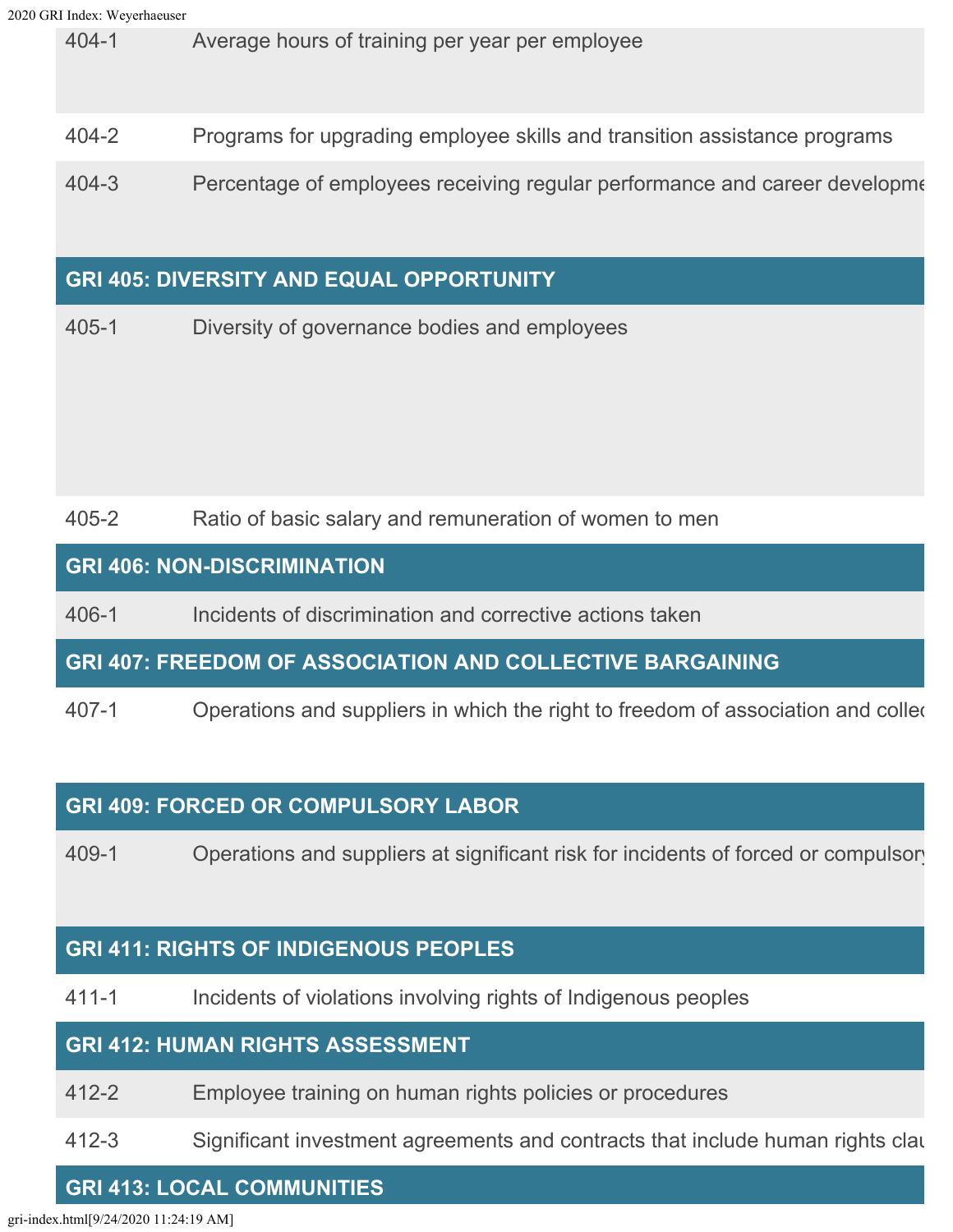404-1 Average hours of training per year per employee

404-2 Programs for upgrading employee skills and transition assistance programs

404-3 Percentage of employees receiving regular performance and career developme

## **GRI 405: DIVERSITY AND EQUAL OPPORTUNITY**

405-1 Diversity of governance bodies and employees

405-2 Ratio of basic salary and remuneration of women to men

## **GRI 406: NON-DISCRIMINATION**

406-1 Incidents of discrimination and corrective actions taken

**GRI 407: FREEDOM OF ASSOCIATION AND COLLECTIVE BARGAINING**

407-1 Operations and suppliers in which the right to freedom of association and collec

## **GRI 409: FORCED OR COMPULSORY LABOR**

409-1 Operations and suppliers at significant risk for incidents of forced or compulsory

## **GRI 411: RIGHTS OF INDIGENOUS PEOPLES**

411-1 Incidents of violations involving rights of Indigenous peoples

## **GRI 412: HUMAN RIGHTS ASSESSMENT**

412-2 Employee training on human rights policies or procedures

412-3 Significant investment agreements and contracts that include human rights clau

## **GRI 413: LOCAL COMMUNITIES**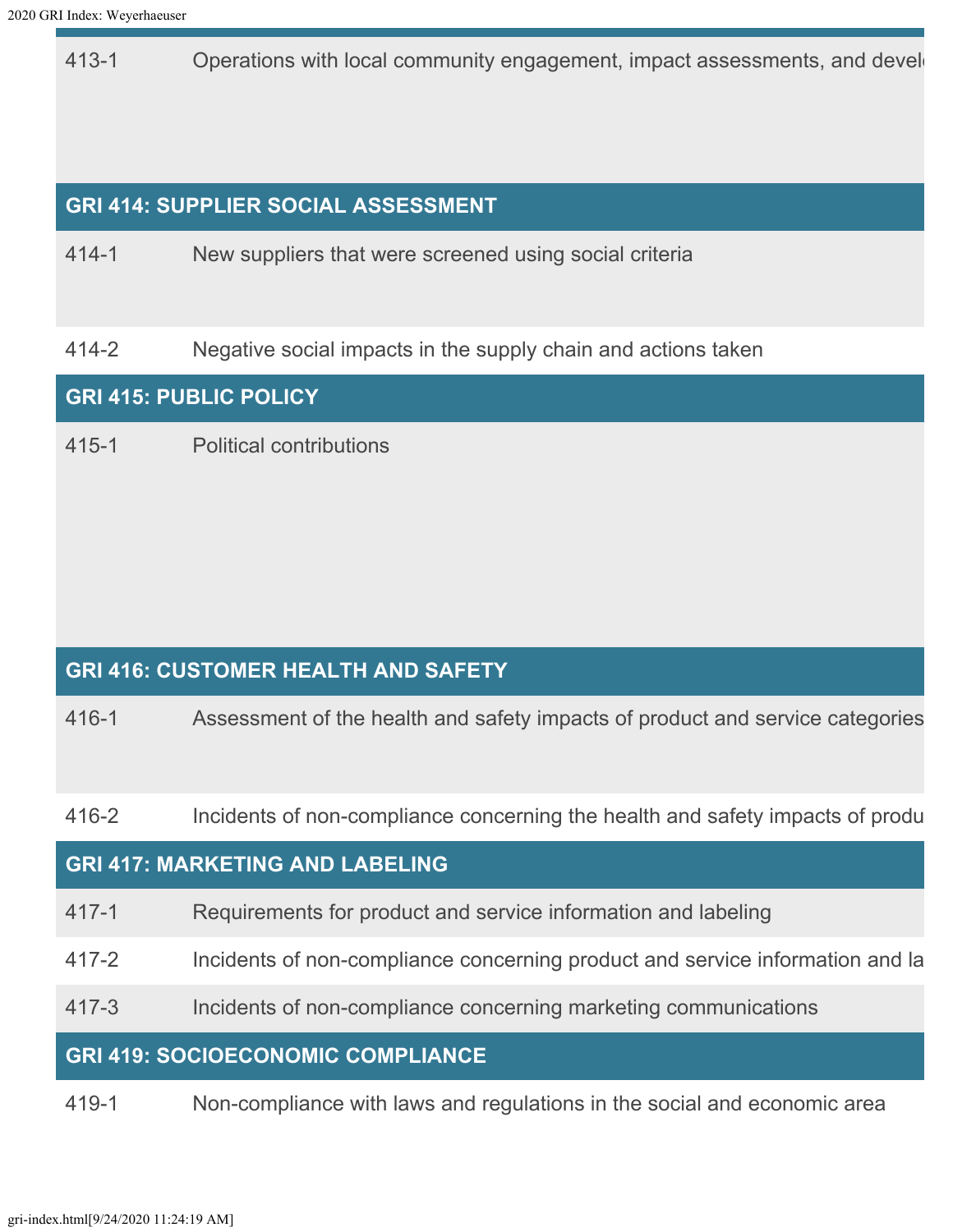413-1 Operations with local community engagement, impact assessments, and develogie

## **GRI 414: SUPPLIER SOCIAL ASSESSMENT**

414-1 New suppliers that were screened using social criteria

414-2 Negative social impacts in the supply chain and actions taken

#### **GRI 415: PUBLIC POLICY**

415-1 Political contributions

## **GRI 416: CUSTOMER HEALTH AND SAFETY**

416-1 Assessment of the health and safety impacts of product and service categories

416-2 Incidents of non-compliance concerning the health and safety impacts of produ

#### **GRI 417: MARKETING AND LABELING**

- 417-1 Requirements for product and service information and labeling
- 417-2 Incidents of non-compliance concerning product and service information and la
- 417-3 Incidents of non-compliance concerning marketing communications

#### **GRI 419: SOCIOECONOMIC COMPLIANCE**

419-1 Non-compliance with laws and regulations in the social and economic area